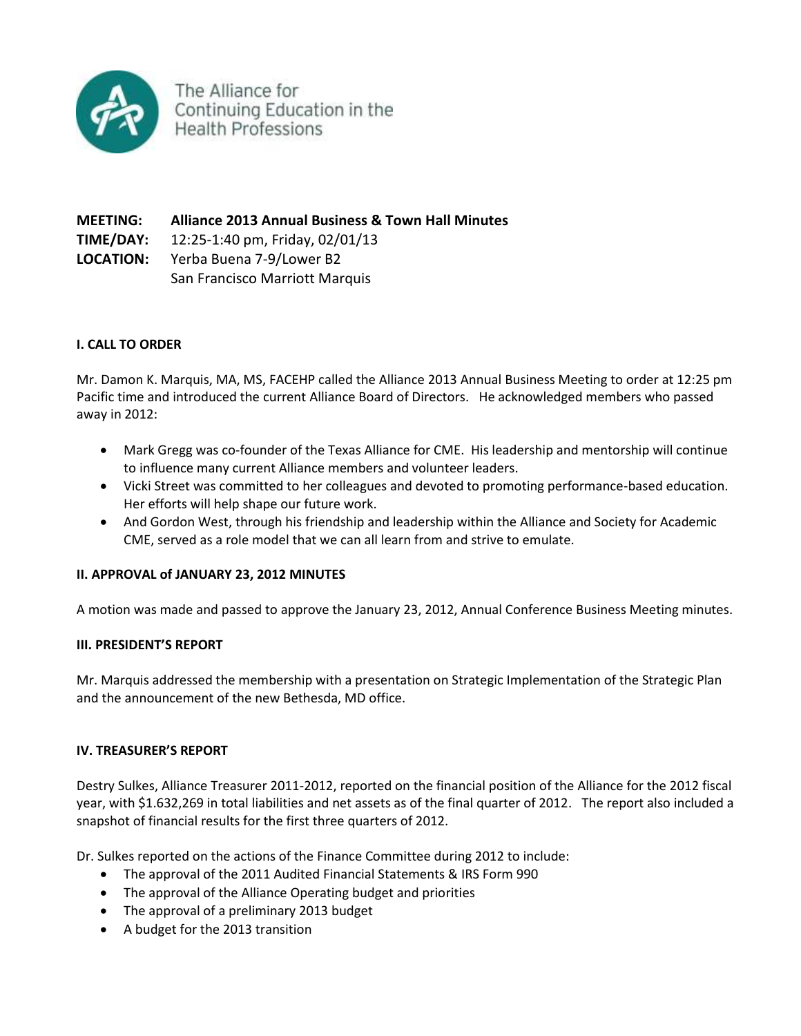

The Alliance for Continuing Education in the **Health Professions** 

**MEETING: Alliance 2013 Annual Business & Town Hall Minutes TIME/DAY:** 12:25-1:40 pm, Friday, 02/01/13 **LOCATION:** Yerba Buena 7-9/Lower B2 San Francisco Marriott Marquis

# **I. CALL TO ORDER**

Mr. Damon K. Marquis, MA, MS, FACEHP called the Alliance 2013 Annual Business Meeting to order at 12:25 pm Pacific time and introduced the current Alliance Board of Directors. He acknowledged members who passed away in 2012:

- Mark Gregg was co-founder of the Texas Alliance for CME. His leadership and mentorship will continue to influence many current Alliance members and volunteer leaders.
- Vicki Street was committed to her colleagues and devoted to promoting performance-based education. Her efforts will help shape our future work.
- And Gordon West, through his friendship and leadership within the Alliance and Society for Academic CME, served as a role model that we can all learn from and strive to emulate.

# **II. APPROVAL of JANUARY 23, 2012 MINUTES**

A motion was made and passed to approve the January 23, 2012, Annual Conference Business Meeting minutes.

# **III. PRESIDENT'S REPORT**

Mr. Marquis addressed the membership with a presentation on Strategic Implementation of the Strategic Plan and the announcement of the new Bethesda, MD office.

# **IV. TREASURER'S REPORT**

Destry Sulkes, Alliance Treasurer 2011-2012, reported on the financial position of the Alliance for the 2012 fiscal year, with \$1.632,269 in total liabilities and net assets as of the final quarter of 2012. The report also included a snapshot of financial results for the first three quarters of 2012.

Dr. Sulkes reported on the actions of the Finance Committee during 2012 to include:

- The approval of the 2011 Audited Financial Statements & IRS Form 990
- The approval of the Alliance Operating budget and priorities
- The approval of a preliminary 2013 budget
- A budget for the 2013 transition